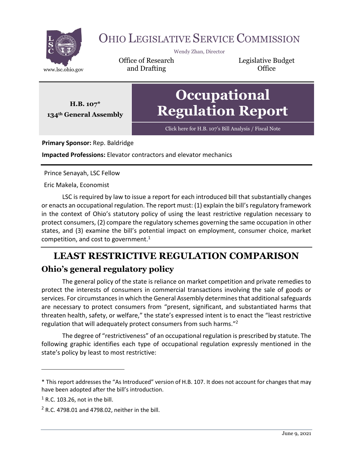

# OHIO LEGISLATIVE SERVICE COMMISSION

Wendy Zhan, Director

Office of Research www.lsc.ohio.gov **and Drafting Construction Office** 

Legislative Budget

**H.B. 107\* 134th General Assembly**

# **Occupational Regulation Report**

Click here for H.B. 107'[s Bill Analysis / Fiscal Note](https://www.legislature.ohio.gov/legislation/legislation-documents?id=GA134-HB-107)

**Primary Sponsor:** Rep. Baldridge

**Impacted Professions:** Elevator contractors and elevator mechanics

Prince Senayah, LSC Fellow

Eric Makela, Economist

LSC is required by law to issue a report for each introduced bill that substantially changes or enacts an occupational regulation. The report must: (1) explain the bill's regulatory framework in the context of Ohio's statutory policy of using the least restrictive regulation necessary to protect consumers, (2) compare the regulatory schemes governing the same occupation in other states, and (3) examine the bill's potential impact on employment, consumer choice, market competition, and cost to government. $1$ 

## **LEAST RESTRICTIVE REGULATION COMPARISON Ohio's general regulatory policy**

The general policy of the state is reliance on market competition and private remedies to protect the interests of consumers in commercial transactions involving the sale of goods or services. For circumstances in which the General Assembly determines that additional safeguards are necessary to protect consumers from "present, significant, and substantiated harms that threaten health, safety, or welfare," the state's expressed intent is to enact the "least restrictive regulation that will adequately protect consumers from such harms."<sup>2</sup>

The degree of "restrictiveness" of an occupational regulation is prescribed by statute. The following graphic identifies each type of occupational regulation expressly mentioned in the state's policy by least to most restrictive:

<sup>\*</sup> This report addresses the "As Introduced" version of H.B. 107. It does not account for changes that may have been adopted after the bill's introduction.

 $<sup>1</sup>$  R.C. 103.26, not in the bill.</sup>

 $2$  R.C. 4798.01 and 4798.02, neither in the bill.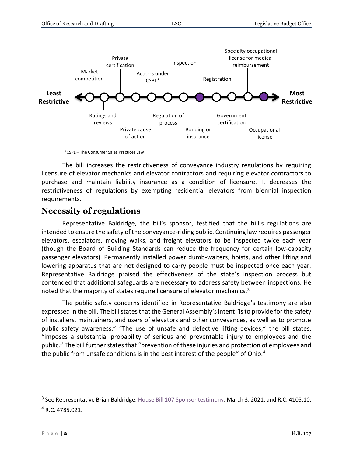

\*CSPL – The Consumer Sales Practices Law

The bill increases the restrictiveness of conveyance industry regulations by requiring licensure of elevator mechanics and elevator contractors and requiring elevator contractors to purchase and maintain liability insurance as a condition of licensure. It decreases the restrictiveness of regulations by exempting residential elevators from biennial inspection requirements.

#### **Necessity of regulations**

Representative Baldridge, the bill's sponsor, testified that the bill's regulations are intended to ensure the safety of the conveyance-riding public. Continuing law requires passenger elevators, escalators, moving walks, and freight elevators to be inspected twice each year (though the Board of Building Standards can reduce the frequency for certain low-capacity passenger elevators). Permanently installed power dumb-waiters, hoists, and other lifting and lowering apparatus that are not designed to carry people must be inspected once each year. Representative Baldridge praised the effectiveness of the state's inspection process but contended that additional safeguards are necessary to address safety between inspections. He noted that the majority of states require licensure of elevator mechanics.<sup>3</sup>

The public safety concerns identified in Representative Baldridge's testimony are also expressed in the bill. The bill states that the General Assembly's intent "is to provide for the safety of installers, maintainers, and users of elevators and other conveyances, as well as to promote public safety awareness." "The use of unsafe and defective lifting devices," the bill states, "imposes a substantial probability of serious and preventable injury to employees and the public." The bill further states that "prevention of these injuries and protection of employees and the public from unsafe conditions is in the best interest of the people" of Ohio.<sup>4</sup>

<sup>&</sup>lt;sup>3</sup> See Representative Brian Baldridge[, House Bill 107 Sponsor testimony,](https://ohiohouse.gov/committees/commerce-and-labor/meetings/cmte_h_commerce_1_2021-03-03-0400_176) March 3, 2021; and R.C. 4105.10.  $4$  R.C. 4785.021.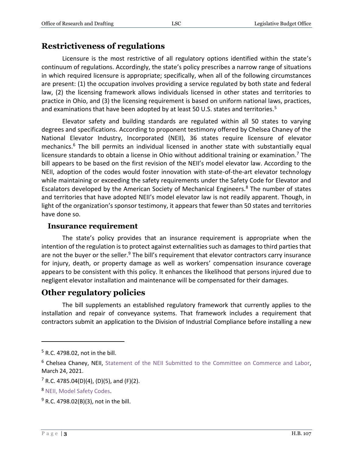#### **Restrictiveness of regulations**

Licensure is the most restrictive of all regulatory options identified within the state's continuum of regulations. Accordingly, the state's policy prescribes a narrow range of situations in which required licensure is appropriate; specifically, when all of the following circumstances are present: (1) the occupation involves providing a service regulated by both state and federal law, (2) the licensing framework allows individuals licensed in other states and territories to practice in Ohio, and (3) the licensing requirement is based on uniform national laws, practices, and examinations that have been adopted by at least 50 U.S. states and territories.<sup>5</sup>

Elevator safety and building standards are regulated within all 50 states to varying degrees and specifications. According to proponent testimony offered by Chelsea Chaney of the National Elevator Industry, Incorporated (NEII), 36 states require licensure of elevator mechanics.<sup>6</sup> The bill permits an individual licensed in another state with substantially equal licensure standards to obtain a license in Ohio without additional training or examination.<sup>7</sup> The bill appears to be based on the first revision of the NEII's model elevator law. According to the NEII, adoption of the codes would foster innovation with state-of-the-art elevator technology while maintaining or exceeding the safety requirements under the Safety Code for Elevator and Escalators developed by the American Society of Mechanical Engineers.<sup>8</sup> The number of states and territories that have adopted NEII's model elevator law is not readily apparent. Though, in light of the organization's sponsor testimony, it appears that fewer than 50 states and territories have done so.

#### **Insurance requirement**

The state's policy provides that an insurance requirement is appropriate when the intention of the regulation is to protect against externalities such as damages to third parties that are not the buyer or the seller.<sup>9</sup> The bill's requirement that elevator contractors carry insurance for injury, death, or property damage as well as workers' compensation insurance coverage appears to be consistent with this policy. It enhances the likelihood that persons injured due to negligent elevator installation and maintenance will be compensated for their damages.

#### **Other regulatory policies**

The bill supplements an established regulatory framework that currently applies to the installation and repair of conveyance systems. That framework includes a requirement that contractors submit an application to the Division of Industrial Compliance before installing a new

 $5$  R.C. 4798.02, not in the bill.

<sup>&</sup>lt;sup>6</sup> Chelsea Chaney, NEII, [Statement of the NEII Submitted to the Committee on Commerce and Labor,](https://www.legislature.ohio.gov/legislation/legislation-committee-documents?id=GA134-HB-107) March 24, 2021.

 $7$  R.C. 4785.04(D)(4), (D)(5), and (F)(2).

<sup>8</sup> NEII, [Model Safety Codes.](https://nationalelevatorindustry.org/wp-content/uploads/2019/02/Model-Code-Info-Sheet.pdf)

 $9$  R.C. 4798.02(B)(3), not in the bill.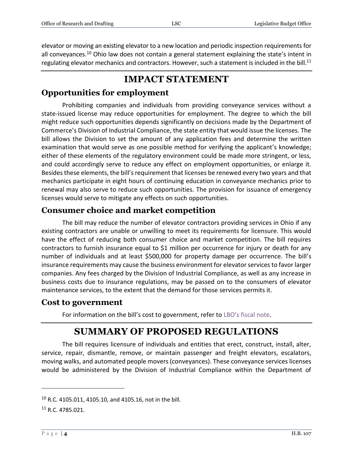elevator or moving an existing elevator to a new location and periodic inspection requirements for all conveyances.<sup>10</sup> Ohio law does not contain a general statement explaining the state's intent in regulating elevator mechanics and contractors. However, such a statement is included in the bill.<sup>11</sup>

### **IMPACT STATEMENT**

#### **Opportunities for employment**

Prohibiting companies and individuals from providing conveyance services without a state-issued license may reduce opportunities for employment. The degree to which the bill might reduce such opportunities depends significantly on decisions made by the Department of Commerce's Division of Industrial Compliance, the state entity that would issue the licenses. The bill allows the Division to set the amount of any application fees and determine the written examination that would serve as one possible method for verifying the applicant's knowledge; either of these elements of the regulatory environment could be made more stringent, or less, and could accordingly serve to reduce any effect on employment opportunities, or enlarge it. Besides these elements, the bill's requirement that licenses be renewed every two years and that mechanics participate in eight hours of continuing education in conveyance mechanics prior to renewal may also serve to reduce such opportunities. The provision for issuance of emergency licenses would serve to mitigate any effects on such opportunities.

#### **Consumer choice and market competition**

The bill may reduce the number of elevator contractors providing services in Ohio if any existing contractors are unable or unwilling to meet its requirements for licensure. This would have the effect of reducing both consumer choice and market competition. The bill requires contractors to furnish insurance equal to \$1 million per occurrence for injury or death for any number of individuals and at least \$500,000 for property damage per occurrence. The bill's insurance requirements may cause the business environment for elevator services to favor larger companies. Any fees charged by the Division of Industrial Compliance, as well as any increase in business costs due to insurance regulations, may be passed on to the consumers of elevator maintenance services, to the extent that the demand for those services permits it.

#### **Cost to government**

For information on the bill's cost to government, refer to LBO'[s fiscal note.](https://www.legislature.ohio.gov/download?key=16146&format=pdf)

### **SUMMARY OF PROPOSED REGULATIONS**

The bill requires licensure of individuals and entities that erect, construct, install, alter, service, repair, dismantle, remove, or maintain passenger and freight elevators, escalators, moving walks, and automated people movers (conveyances). These conveyance services licenses would be administered by the Division of Industrial Compliance within the Department of

<sup>10</sup> R.C. 4105.011, 4105.10, and 4105.16, not in the bill.

<sup>11</sup> R.C. 4785.021.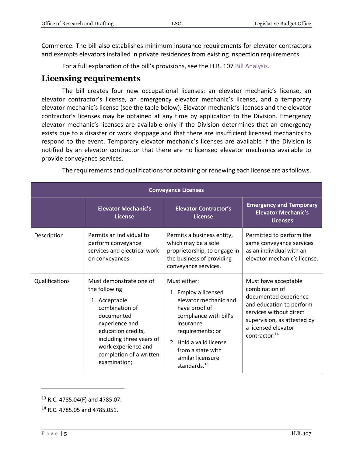Commerce. The bill also establishes minimum insurance requirements for elevator contractors and exempts elevators installed in private residences from existing inspection requirements.

For a full explanation of the bill's provisions, see the H.B. 107 [Bill Analysis.](https://www.legislature.ohio.gov/download?key=15831&format=pdf)

#### **Licensing requirements**

The bill creates four new occupational licenses: an elevator mechanic's license, an elevator contractor's license, an emergency elevator mechanic's license, and a temporary elevator mechanic's license (see the table below). Elevator mechanic's licenses and the elevator contractor's licenses may be obtained at any time by application to the Division. Emergency elevator mechanic's licenses are available only if the Division determines that an emergency exists due to a disaster or work stoppage and that there are insufficient licensed mechanics to respond to the event. Temporary elevator mechanic's licenses are available if the Division is notified by an elevator contractor that there are no licensed elevator mechanics available to provide conveyance services.

| <b>Conveyance Licenses</b> |                                                                                                                                                                                                                                  |                                                                                                                                                                                                                                            |                                                                                                                                                                                                           |  |
|----------------------------|----------------------------------------------------------------------------------------------------------------------------------------------------------------------------------------------------------------------------------|--------------------------------------------------------------------------------------------------------------------------------------------------------------------------------------------------------------------------------------------|-----------------------------------------------------------------------------------------------------------------------------------------------------------------------------------------------------------|--|
|                            | <b>Elevator Mechanic's</b><br>License                                                                                                                                                                                            | <b>Elevator Contractor's</b><br><b>License</b>                                                                                                                                                                                             | <b>Emergency and Temporary</b><br><b>Elevator Mechanic's</b><br><b>Licenses</b>                                                                                                                           |  |
| Description                | Permits an individual to<br>perform conveyance<br>services and electrical work<br>on conveyances.                                                                                                                                | Permits a business entity,<br>which may be a sole<br>proprietorship, to engage in<br>the business of providing<br>conveyance services.                                                                                                     | Permitted to perform the<br>same conveyance services<br>as an individual with an<br>elevator mechanic's license.                                                                                          |  |
| Qualifications             | Must demonstrate one of<br>the following:<br>1. Acceptable<br>combination of<br>documented<br>experience and<br>education credits,<br>including three years of<br>work experience and<br>completion of a written<br>examination; | Must either:<br>1. Employ a licensed<br>elevator mechanic and<br>have proof of<br>compliance with bill's<br>insurance<br>requirements; or<br>2. Hold a valid license<br>from a state with<br>similar licensure<br>standards. <sup>13</sup> | Must have acceptable<br>combination of<br>documented experience<br>and education to perform<br>services without direct<br>supervision, as attested by<br>a licensed elevator<br>contractor. <sup>14</sup> |  |

The requirements and qualifications for obtaining or renewing each license are as follows.

<sup>13</sup> R.C. 4785.04(F) and 4785.07.

<sup>14</sup> R.C. 4785.05 and 4785.051.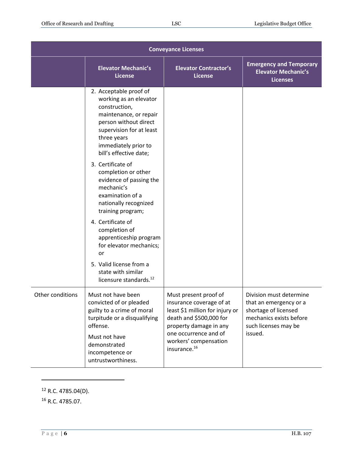|                  | <b>Conveyance Licenses</b>                                                                                                                                                                                        |                                                                                                                                                                                                                         |                                                                                                                                         |  |
|------------------|-------------------------------------------------------------------------------------------------------------------------------------------------------------------------------------------------------------------|-------------------------------------------------------------------------------------------------------------------------------------------------------------------------------------------------------------------------|-----------------------------------------------------------------------------------------------------------------------------------------|--|
|                  | <b>Elevator Mechanic's</b><br><b>License</b>                                                                                                                                                                      | <b>Elevator Contractor's</b><br><b>License</b>                                                                                                                                                                          | <b>Emergency and Temporary</b><br><b>Elevator Mechanic's</b><br><b>Licenses</b>                                                         |  |
|                  | 2. Acceptable proof of<br>working as an elevator<br>construction,<br>maintenance, or repair<br>person without direct<br>supervision for at least<br>three years<br>immediately prior to<br>bill's effective date; |                                                                                                                                                                                                                         |                                                                                                                                         |  |
|                  | 3. Certificate of<br>completion or other<br>evidence of passing the<br>mechanic's<br>examination of a<br>nationally recognized<br>training program;                                                               |                                                                                                                                                                                                                         |                                                                                                                                         |  |
|                  | 4. Certificate of<br>completion of<br>apprenticeship program<br>for elevator mechanics;<br>or                                                                                                                     |                                                                                                                                                                                                                         |                                                                                                                                         |  |
|                  | 5. Valid license from a<br>state with similar<br>licensure standards. <sup>12</sup>                                                                                                                               |                                                                                                                                                                                                                         |                                                                                                                                         |  |
| Other conditions | Must not have been<br>convicted of or pleaded<br>guilty to a crime of moral<br>turpitude or a disqualifying<br>offense.<br>Must not have<br>demonstrated<br>incompetence or<br>untrustworthiness.                 | Must present proof of<br>insurance coverage of at<br>least \$1 million for injury or<br>death and \$500,000 for<br>property damage in any<br>one occurrence and of<br>workers' compensation<br>insurance. <sup>16</sup> | Division must determine<br>that an emergency or a<br>shortage of licensed<br>mechanics exists before<br>such licenses may be<br>issued. |  |

 $12$  R.C. 4785.04(D).

<sup>16</sup> R.C. 4785.07.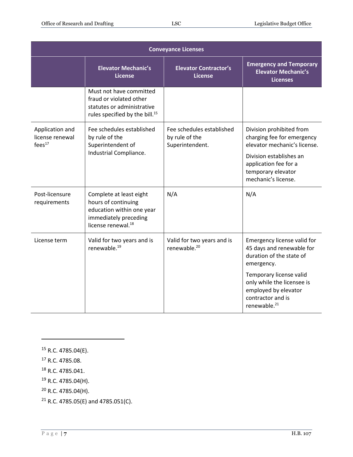|                                                          | <b>Conveyance Licenses</b>                                                                                                             |                                                                |                                                                                                                       |  |  |
|----------------------------------------------------------|----------------------------------------------------------------------------------------------------------------------------------------|----------------------------------------------------------------|-----------------------------------------------------------------------------------------------------------------------|--|--|
|                                                          | <b>Elevator Mechanic's</b><br><b>License</b>                                                                                           | <b>Elevator Contractor's</b><br><b>License</b>                 | <b>Emergency and Temporary</b><br><b>Elevator Mechanic's</b><br><b>Licenses</b>                                       |  |  |
|                                                          | Must not have committed<br>fraud or violated other<br>statutes or administrative<br>rules specified by the bill. <sup>15</sup>         |                                                                |                                                                                                                       |  |  |
| Application and<br>license renewal<br>fees <sup>17</sup> | Fee schedules established<br>by rule of the<br>Superintendent of                                                                       | Fee schedules established<br>by rule of the<br>Superintendent. | Division prohibited from<br>charging fee for emergency<br>elevator mechanic's license.                                |  |  |
|                                                          | Industrial Compliance.                                                                                                                 |                                                                | Division establishes an<br>application fee for a<br>temporary elevator<br>mechanic's license.                         |  |  |
| Post-licensure<br>requirements                           | Complete at least eight<br>hours of continuing<br>education within one year<br>immediately preceding<br>license renewal. <sup>18</sup> | N/A                                                            | N/A                                                                                                                   |  |  |
| License term                                             | Valid for two years and is<br>renewable. <sup>19</sup>                                                                                 | Valid for two years and is<br>renewable. <sup>20</sup>         | Emergency license valid for<br>45 days and renewable for<br>duration of the state of<br>emergency.                    |  |  |
|                                                          |                                                                                                                                        |                                                                | Temporary license valid<br>only while the licensee is<br>employed by elevator<br>contractor and is<br>renewable. $21$ |  |  |

<sup>15</sup> R.C. 4785.04(E).

<sup>17</sup> R.C. 4785.08.

 $\overline{a}$ 

<sup>18</sup> R.C. 4785.041.

 $19$  R.C. 4785.04(H).

 $20$  R.C. 4785.04(H).

 $21$  R.C. 4785.05(E) and 4785.051(C).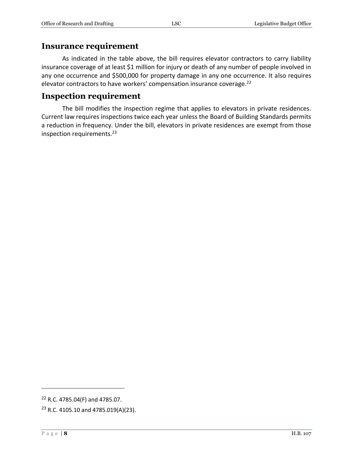#### **Insurance requirement**

As indicated in the table above, the bill requires elevator contractors to carry liability insurance coverage of at least \$1 million for injury or death of any number of people involved in any one occurrence and \$500,000 for property damage in any one occurrence. It also requires elevator contractors to have workers' compensation insurance coverage.<sup>22</sup>

#### **Inspection requirement**

The bill modifies the inspection regime that applies to elevators in private residences. Current law requires inspections twice each year unless the Board of Building Standards permits a reduction in frequency. Under the bill, elevators in private residences are exempt from those inspection requirements. 23

<sup>22</sup> R.C. 4785.04(F) and 4785.07.

 $23$  R.C. 4105.10 and 4785.019(A)(23).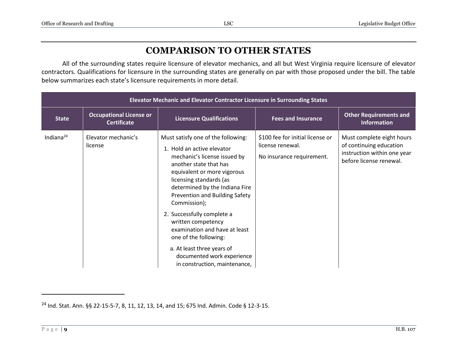### **COMPARISON TO OTHER STATES**

All of the surrounding states require licensure of elevator mechanics, and all but West Virginia require licensure of elevator contractors. Qualifications for licensure in the surrounding states are generally on par with those proposed under the bill. The table below summarizes each state's licensure requirements in more detail.

|                 | Elevator Mechanic and Elevator Contractor Licensure in Surrounding States |                                                                                                                                                                                                                                                                                                                                                                                                                                                                                     |                                                                                   |                                                                                                                |  |
|-----------------|---------------------------------------------------------------------------|-------------------------------------------------------------------------------------------------------------------------------------------------------------------------------------------------------------------------------------------------------------------------------------------------------------------------------------------------------------------------------------------------------------------------------------------------------------------------------------|-----------------------------------------------------------------------------------|----------------------------------------------------------------------------------------------------------------|--|
| <b>State</b>    | <b>Occupational License or</b><br><b>Certificate</b>                      | <b>Licensure Qualifications</b>                                                                                                                                                                                                                                                                                                                                                                                                                                                     | <b>Fees and Insurance</b>                                                         | <b>Other Requirements and</b><br><b>Information</b>                                                            |  |
| Indiana $^{24}$ | Elevator mechanic's<br>license                                            | Must satisfy one of the following:<br>1. Hold an active elevator<br>mechanic's license issued by<br>another state that has<br>equivalent or more vigorous<br>licensing standards (as<br>determined by the Indiana Fire<br>Prevention and Building Safety<br>Commission);<br>2. Successfully complete a<br>written competency<br>examination and have at least<br>one of the following:<br>a. At least three years of<br>documented work experience<br>in construction, maintenance, | \$100 fee for initial license or<br>license renewal.<br>No insurance requirement. | Must complete eight hours<br>of continuing education<br>instruction within one year<br>before license renewal. |  |

<sup>24</sup> Ind. Stat. Ann. §§ 22-15-5-7, 8, 11, 12, 13, 14, and 15; 675 Ind. Admin. Code § 12-3-15.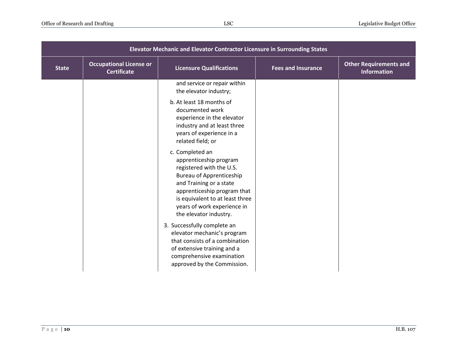| Elevator Mechanic and Elevator Contractor Licensure in Surrounding States |                                                      |                                                                                                                                                                                                                                                                |                           |                                                     |
|---------------------------------------------------------------------------|------------------------------------------------------|----------------------------------------------------------------------------------------------------------------------------------------------------------------------------------------------------------------------------------------------------------------|---------------------------|-----------------------------------------------------|
| <b>State</b>                                                              | <b>Occupational License or</b><br><b>Certificate</b> | <b>Licensure Qualifications</b>                                                                                                                                                                                                                                | <b>Fees and Insurance</b> | <b>Other Requirements and</b><br><b>Information</b> |
|                                                                           |                                                      | and service or repair within<br>the elevator industry;                                                                                                                                                                                                         |                           |                                                     |
|                                                                           |                                                      | b. At least 18 months of<br>documented work<br>experience in the elevator<br>industry and at least three<br>years of experience in a<br>related field; or                                                                                                      |                           |                                                     |
|                                                                           |                                                      | c. Completed an<br>apprenticeship program<br>registered with the U.S.<br><b>Bureau of Apprenticeship</b><br>and Training or a state<br>apprenticeship program that<br>is equivalent to at least three<br>years of work experience in<br>the elevator industry. |                           |                                                     |
|                                                                           |                                                      | 3. Successfully complete an<br>elevator mechanic's program<br>that consists of a combination<br>of extensive training and a<br>comprehensive examination<br>approved by the Commission.                                                                        |                           |                                                     |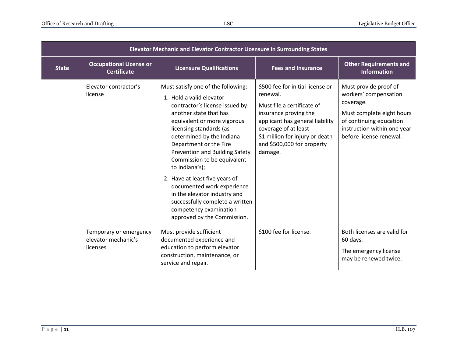|              | Elevator Mechanic and Elevator Contractor Licensure in Surrounding States |                                                                                                                                                                                                                                                                                                                                                                                                                                                                                                                            |                                                                                                                                                                                                                                            |                                                                                                                                                                               |
|--------------|---------------------------------------------------------------------------|----------------------------------------------------------------------------------------------------------------------------------------------------------------------------------------------------------------------------------------------------------------------------------------------------------------------------------------------------------------------------------------------------------------------------------------------------------------------------------------------------------------------------|--------------------------------------------------------------------------------------------------------------------------------------------------------------------------------------------------------------------------------------------|-------------------------------------------------------------------------------------------------------------------------------------------------------------------------------|
| <b>State</b> | <b>Occupational License or</b><br><b>Certificate</b>                      | <b>Licensure Qualifications</b>                                                                                                                                                                                                                                                                                                                                                                                                                                                                                            | <b>Fees and Insurance</b>                                                                                                                                                                                                                  | <b>Other Requirements and</b><br><b>Information</b>                                                                                                                           |
|              | Elevator contractor's<br>license                                          | Must satisfy one of the following:<br>1. Hold a valid elevator<br>contractor's license issued by<br>another state that has<br>equivalent or more vigorous<br>licensing standards (as<br>determined by the Indiana<br>Department or the Fire<br>Prevention and Building Safety<br>Commission to be equivalent<br>to Indiana's);<br>2. Have at least five years of<br>documented work experience<br>in the elevator industry and<br>successfully complete a written<br>competency examination<br>approved by the Commission. | \$500 fee for initial license or<br>renewal.<br>Must file a certificate of<br>insurance proving the<br>applicant has general liability<br>coverage of at least<br>\$1 million for injury or death<br>and \$500,000 for property<br>damage. | Must provide proof of<br>workers' compensation<br>coverage.<br>Must complete eight hours<br>of continuing education<br>instruction within one year<br>before license renewal. |
|              | Temporary or emergency<br>elevator mechanic's<br>licenses                 | Must provide sufficient<br>documented experience and<br>education to perform elevator<br>construction, maintenance, or<br>service and repair.                                                                                                                                                                                                                                                                                                                                                                              | \$100 fee for license.                                                                                                                                                                                                                     | Both licenses are valid for<br>60 days.<br>The emergency license<br>may be renewed twice.                                                                                     |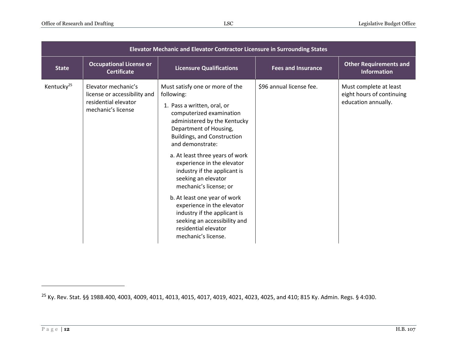|                        | Elevator Mechanic and Elevator Contractor Licensure in Surrounding States                         |                                                                                                                                                                                                                                                                                                                                                                                                                                                                                                                                                             |                           |                                                                            |  |
|------------------------|---------------------------------------------------------------------------------------------------|-------------------------------------------------------------------------------------------------------------------------------------------------------------------------------------------------------------------------------------------------------------------------------------------------------------------------------------------------------------------------------------------------------------------------------------------------------------------------------------------------------------------------------------------------------------|---------------------------|----------------------------------------------------------------------------|--|
| <b>State</b>           | <b>Occupational License or</b><br><b>Certificate</b>                                              | <b>Licensure Qualifications</b>                                                                                                                                                                                                                                                                                                                                                                                                                                                                                                                             | <b>Fees and Insurance</b> | <b>Other Requirements and</b><br><b>Information</b>                        |  |
| Kentucky <sup>25</sup> | Elevator mechanic's<br>license or accessibility and<br>residential elevator<br>mechanic's license | Must satisfy one or more of the<br>following:<br>1. Pass a written, oral, or<br>computerized examination<br>administered by the Kentucky<br>Department of Housing,<br><b>Buildings, and Construction</b><br>and demonstrate:<br>a. At least three years of work<br>experience in the elevator<br>industry if the applicant is<br>seeking an elevator<br>mechanic's license; or<br>b. At least one year of work<br>experience in the elevator<br>industry if the applicant is<br>seeking an accessibility and<br>residential elevator<br>mechanic's license. | \$96 annual license fee.  | Must complete at least<br>eight hours of continuing<br>education annually. |  |

<sup>25</sup> Ky. Rev. Stat. §§ 198B.400, 4003, 4009, 4011, 4013, 4015, 4017, 4019, 4021, 4023, 4025, and 410; 815 Ky. Admin. Regs. § 4:030.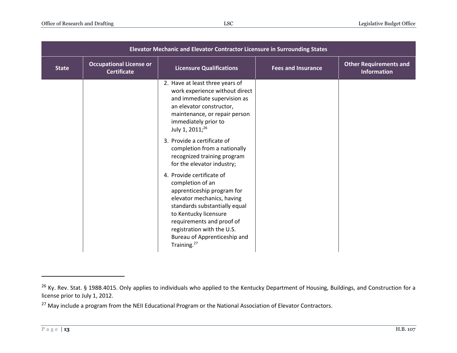|              | Elevator Mechanic and Elevator Contractor Licensure in Surrounding States |                                                                                                                                                                                                                                                                                           |                           |                                                     |
|--------------|---------------------------------------------------------------------------|-------------------------------------------------------------------------------------------------------------------------------------------------------------------------------------------------------------------------------------------------------------------------------------------|---------------------------|-----------------------------------------------------|
| <b>State</b> | <b>Occupational License or</b><br><b>Certificate</b>                      | <b>Licensure Qualifications</b>                                                                                                                                                                                                                                                           | <b>Fees and Insurance</b> | <b>Other Requirements and</b><br><b>Information</b> |
|              |                                                                           | 2. Have at least three years of<br>work experience without direct<br>and immediate supervision as<br>an elevator constructor,<br>maintenance, or repair person<br>immediately prior to<br>July 1, 2011; <sup>26</sup><br>3. Provide a certificate of                                      |                           |                                                     |
|              |                                                                           | completion from a nationally<br>recognized training program<br>for the elevator industry;                                                                                                                                                                                                 |                           |                                                     |
|              |                                                                           | 4. Provide certificate of<br>completion of an<br>apprenticeship program for<br>elevator mechanics, having<br>standards substantially equal<br>to Kentucky licensure<br>requirements and proof of<br>registration with the U.S.<br>Bureau of Apprenticeship and<br>Training. <sup>27</sup> |                           |                                                     |

<sup>&</sup>lt;sup>26</sup> Ky. Rev. Stat. § 198B.4015. Only applies to individuals who applied to the Kentucky Department of Housing, Buildings, and Construction for a license prior to July 1, 2012.

<sup>&</sup>lt;sup>27</sup> May include a program from the NEII Educational Program or the National Association of Elevator Contractors.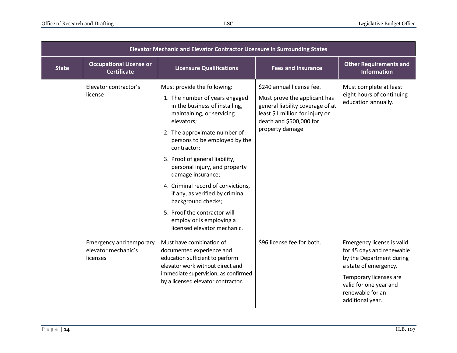| Elevator Mechanic and Elevator Contractor Licensure in Surrounding States |                                                                   |                                                                                                                                                                                                                                                                                                                                                                                                                                                   |                                                                                                                                                                                 |                                                                                                                                                                                                          |
|---------------------------------------------------------------------------|-------------------------------------------------------------------|---------------------------------------------------------------------------------------------------------------------------------------------------------------------------------------------------------------------------------------------------------------------------------------------------------------------------------------------------------------------------------------------------------------------------------------------------|---------------------------------------------------------------------------------------------------------------------------------------------------------------------------------|----------------------------------------------------------------------------------------------------------------------------------------------------------------------------------------------------------|
| <b>State</b>                                                              | <b>Occupational License or</b><br><b>Certificate</b>              | <b>Licensure Qualifications</b>                                                                                                                                                                                                                                                                                                                                                                                                                   | <b>Fees and Insurance</b>                                                                                                                                                       | <b>Other Requirements and</b><br><b>Information</b>                                                                                                                                                      |
|                                                                           | Elevator contractor's<br>license                                  | Must provide the following:<br>1. The number of years engaged<br>in the business of installing,<br>maintaining, or servicing<br>elevators;<br>2. The approximate number of<br>persons to be employed by the<br>contractor;<br>3. Proof of general liability,<br>personal injury, and property<br>damage insurance;<br>4. Criminal record of convictions,<br>if any, as verified by criminal<br>background checks;<br>5. Proof the contractor will | \$240 annual license fee.<br>Must prove the applicant has<br>general liability coverage of at<br>least \$1 million for injury or<br>death and \$500,000 for<br>property damage. | Must complete at least<br>eight hours of continuing<br>education annually.                                                                                                                               |
|                                                                           | <b>Emergency and temporary</b><br>elevator mechanic's<br>licenses | employ or is employing a<br>licensed elevator mechanic.<br>Must have combination of<br>documented experience and<br>education sufficient to perform<br>elevator work without direct and<br>immediate supervision, as confirmed<br>by a licensed elevator contractor.                                                                                                                                                                              | \$96 license fee for both.                                                                                                                                                      | Emergency license is valid<br>for 45 days and renewable<br>by the Department during<br>a state of emergency.<br>Temporary licenses are<br>valid for one year and<br>renewable for an<br>additional year. |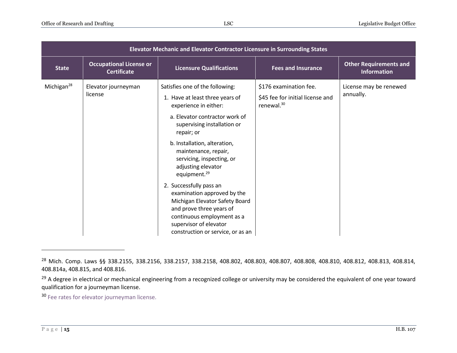| Elevator Mechanic and Elevator Contractor Licensure in Surrounding States |                                                      |                                                                                                                                                                                                                                                                                                                                                                                                                                                                         |                                                                             |                                                     |
|---------------------------------------------------------------------------|------------------------------------------------------|-------------------------------------------------------------------------------------------------------------------------------------------------------------------------------------------------------------------------------------------------------------------------------------------------------------------------------------------------------------------------------------------------------------------------------------------------------------------------|-----------------------------------------------------------------------------|-----------------------------------------------------|
| <b>State</b>                                                              | <b>Occupational License or</b><br><b>Certificate</b> | <b>Licensure Qualifications</b>                                                                                                                                                                                                                                                                                                                                                                                                                                         | <b>Fees and Insurance</b>                                                   | <b>Other Requirements and</b><br><b>Information</b> |
| Michigan $^{28}$                                                          | Elevator journeyman<br>license                       | Satisfies one of the following:<br>1. Have at least three years of<br>experience in either:<br>a. Elevator contractor work of<br>supervising installation or<br>repair; or<br>b. Installation, alteration,<br>maintenance, repair,<br>servicing, inspecting, or<br>adjusting elevator<br>equipment. <sup>29</sup><br>2. Successfully pass an<br>examination approved by the<br>Michigan Elevator Safety Board<br>and prove three years of<br>continuous employment as a | \$176 examination fee.<br>\$45 fee for initial license and<br>renewal. $30$ | License may be renewed<br>annually.                 |
|                                                                           |                                                      | supervisor of elevator<br>construction or service, or as an                                                                                                                                                                                                                                                                                                                                                                                                             |                                                                             |                                                     |

<sup>28</sup> Mich. Comp. Laws §§ 338.2155, 338.2156, 338.2157, 338.2158, 408.802, 408.803, 408.807, 408.808, 408.810, 408.812, 408.813, 408.814, 408.814a, 408.815, and 408.816.

<sup>&</sup>lt;sup>29</sup> A degree in electrical or mechanical engineering from a recognized college or university may be considered the equivalent of one year toward qualification for a journeyman license.

<sup>&</sup>lt;sup>30</sup> [Fee rates for elevator journeyman license.](https://detroitmi.gov/Portals/0/docs/Permits/BSEED/Elevator/GENERAL%20FEE%20SCHEDULE.pdf)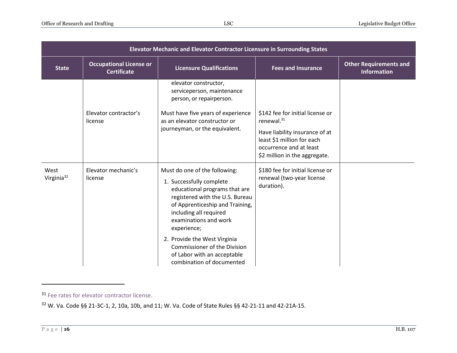| Elevator Mechanic and Elevator Contractor Licensure in Surrounding States |                                                      |                                                                                                                                                                                                                                                                                                                                                                       |                                                                                                                          |                                                     |  |
|---------------------------------------------------------------------------|------------------------------------------------------|-----------------------------------------------------------------------------------------------------------------------------------------------------------------------------------------------------------------------------------------------------------------------------------------------------------------------------------------------------------------------|--------------------------------------------------------------------------------------------------------------------------|-----------------------------------------------------|--|
| <b>State</b>                                                              | <b>Occupational License or</b><br><b>Certificate</b> | <b>Licensure Qualifications</b>                                                                                                                                                                                                                                                                                                                                       | <b>Fees and Insurance</b>                                                                                                | <b>Other Requirements and</b><br><b>Information</b> |  |
|                                                                           | Elevator contractor's                                | elevator constructor,<br>serviceperson, maintenance<br>person, or repairperson.<br>Must have five years of experience                                                                                                                                                                                                                                                 | \$142 fee for initial license or                                                                                         |                                                     |  |
|                                                                           | license                                              | as an elevator constructor or                                                                                                                                                                                                                                                                                                                                         | renewal. $31$                                                                                                            |                                                     |  |
|                                                                           |                                                      | journeyman, or the equivalent.                                                                                                                                                                                                                                                                                                                                        | Have liability insurance of at<br>least \$1 million for each<br>occurrence and at least<br>\$2 million in the aggregate. |                                                     |  |
| West<br>Virginia <sup>32</sup>                                            | Elevator mechanic's<br>license                       | Must do one of the following:<br>1. Successfully complete<br>educational programs that are<br>registered with the U.S. Bureau<br>of Apprenticeship and Training,<br>including all required<br>examinations and work<br>experience;<br>2. Provide the West Virginia<br><b>Commissioner of the Division</b><br>of Labor with an acceptable<br>combination of documented | \$180 fee for initial license or<br>renewal (two-year license<br>duration).                                              |                                                     |  |

<sup>&</sup>lt;sup>31</sup> [Fee rates for elevator contractor license.](https://detroitmi.gov/Portals/0/docs/Permits/BSEED/Elevator/GENERAL%20FEE%20SCHEDULE.pdf)

<sup>32</sup> W. Va. Code §§ 21-3C-1, 2, 10a, 10b, and 11; W. Va. Code of State Rules §§ 42-21-11 and 42-21A-15.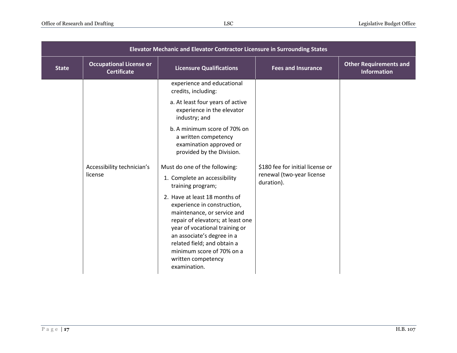| Elevator Mechanic and Elevator Contractor Licensure in Surrounding States |                                                      |                                                                                                                                                                                                                                                                                                    |                                                                             |                                                     |
|---------------------------------------------------------------------------|------------------------------------------------------|----------------------------------------------------------------------------------------------------------------------------------------------------------------------------------------------------------------------------------------------------------------------------------------------------|-----------------------------------------------------------------------------|-----------------------------------------------------|
| <b>State</b>                                                              | <b>Occupational License or</b><br><b>Certificate</b> | <b>Licensure Qualifications</b>                                                                                                                                                                                                                                                                    | <b>Fees and Insurance</b>                                                   | <b>Other Requirements and</b><br><b>Information</b> |
|                                                                           |                                                      | experience and educational<br>credits, including:                                                                                                                                                                                                                                                  |                                                                             |                                                     |
|                                                                           |                                                      | a. At least four years of active<br>experience in the elevator<br>industry; and                                                                                                                                                                                                                    |                                                                             |                                                     |
|                                                                           |                                                      | b. A minimum score of 70% on<br>a written competency<br>examination approved or<br>provided by the Division.                                                                                                                                                                                       |                                                                             |                                                     |
|                                                                           | Accessibility technician's<br>license                | Must do one of the following:<br>1. Complete an accessibility<br>training program;                                                                                                                                                                                                                 | \$180 fee for initial license or<br>renewal (two-year license<br>duration). |                                                     |
|                                                                           |                                                      | 2. Have at least 18 months of<br>experience in construction,<br>maintenance, or service and<br>repair of elevators; at least one<br>year of vocational training or<br>an associate's degree in a<br>related field; and obtain a<br>minimum score of 70% on a<br>written competency<br>examination. |                                                                             |                                                     |